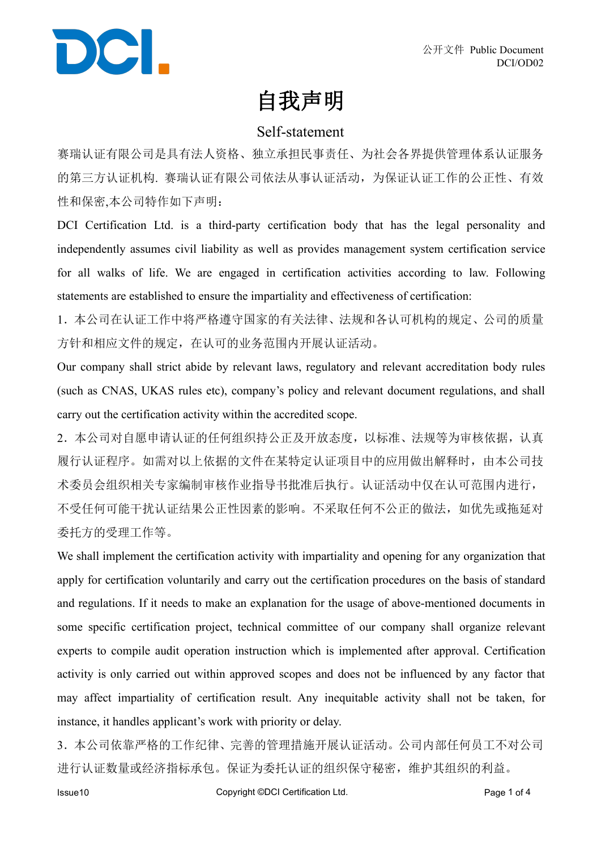

### 自我声明

#### Self-statement

赛瑞认证有限公司是具有法人资格、独立承担民事责任、为社会各界提供管理体系认证服务 的第三方认证机构. 赛瑞认证有限公司依法从事认证活动,为保证认证工作的公正性、有效 性和保密,本公司特作如下声明:

DCI Certification Ltd. is a third-party certification body that has the legal personality and independently assumes civil liability as well as provides management system certification service for all walks of life. We are engaged in certification activities according to law. Following statements are established to ensure the impartiality and effectiveness of certification:

1.本公司在认证工作中将严格遵守国家的有关法律、法规和各认可机构的规定、公司的质量 方针和相应文件的规定,在认可的业务范围内开展认证活动。

Our company shall strict abide by relevant laws, regulatory and relevant accreditation body rules (such as CNAS, UKAS rules etc), company's policy and relevant document regulations, and shall carry out the certification activity within the accredited scope.

2.本公司对自愿申请认证的任何组织持公正及开放态度,以标准、法规等为审核依据,认真 履行认证程序。如需对以上依据的文件在某特定认证项目中的应用做出解释时,由本公司技 术委员会组织相关专家编制审核作业指导书批准后执行。认证活动中仅在认可范围内进行, 不受任何可能干扰认证结果公正性因素的影响。不采取任何不公正的做法,如优先或拖延对 委托方的受理工作等。

We shall implement the certification activity with impartiality and opening for any organization that apply for certification voluntarily and carry out the certification procedures on the basis of standard and regulations. If it needs to make an explanation for the usage of above-mentioned documents in some specific certification project, technical committee of our company shall organize relevant experts to compile audit operation instruction which is implemented after approval. Certification activity is only carried out within approved scopes and does not be influenced by any factor that may affect impartiality of certification result. Any inequitable activity shall not be taken, for instance, it handles applicant's work with priority or delay.

3.本公司依靠严格的工作纪律、完善的管理措施开展认证活动。公司内部任何员工不对公司 进行认证数量或经济指标承包。保证为委托认证的组织保守秘密,维护其组织的利益。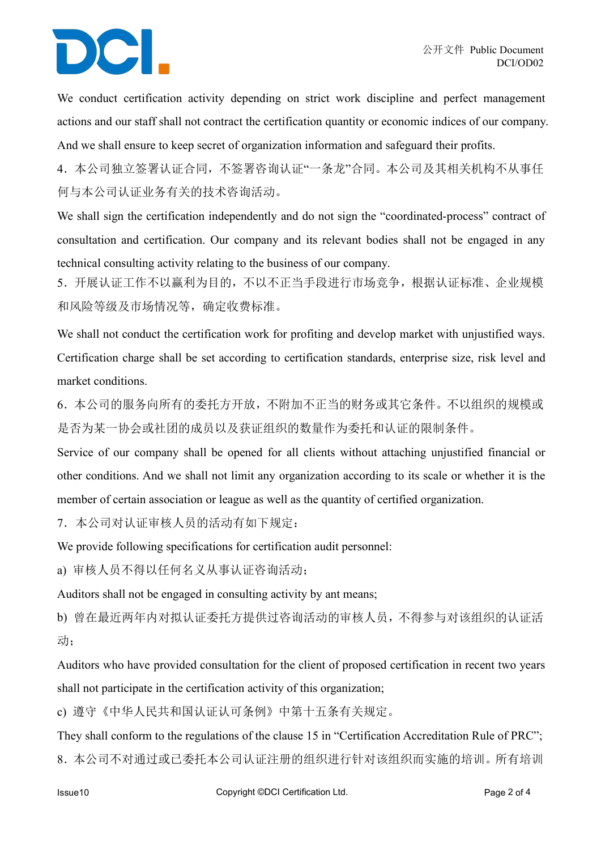# DCI.

We conduct certification activity depending on strict work discipline and perfect management actions and our staff shall not contract the certification quantity or economic indices of our company. And we shall ensure to keep secret of organization information and safeguard their profits.

4.本公司独立签署认证合同,不签署咨询认证"一条龙"合同。本公司及其相关机构不从事任 何与本公司认证业务有关的技术咨询活动。

We shall sign the certification independently and do not sign the "coordinated-process" contract of consultation and certification. Our company and its relevant bodies shall not be engaged in any technical consulting activity relating to the business of our company.

5.开展认证工作不以赢利为目的,不以不正当手段进行市场竞争,根据认证标准、企业规模 和风险等级及市场情况等,确定收费标准。

We shall not conduct the certification work for profiting and develop market with unjustified ways. Certification charge shall be set according to certification standards, enterprise size, risk level and market conditions.

6.本公司的服务向所有的委托方开放,不附加不正当的财务或其它条件。不以组织的规模或 是否为某一协会或社团的成员以及获证组织的数量作为委托和认证的限制条件。

Service of our company shall be opened for all clients without attaching unjustified financial or other conditions. And we shall not limit any organization according to its scale or whether it is the member of certain association or league as well as the quantity of certified organization.

7.本公司对认证审核人员的活动有如下规定:

We provide following specifications for certification audit personnel:

a) 审核人员不得以任何名义从事认证咨询活动;

Auditors shall not be engaged in consulting activity by ant means;

b) 曾在最近两年内对拟认证委托方提供过咨询活动的审核人员,不得参与对该组织的认证活 动;

Auditors who have provided consultation for the client of proposed certification in recent two years shall not participate in the certification activity of this organization;

c) 遵守《中华人民共和国认证认可条例》中第十五条有关规定。

They shall conform to the regulations of the clause 15 in "Certification Accreditation Rule of PRC"; 8.本公司不对通过或已委托本公司认证注册的组织进行针对该组织而实施的培训。所有培训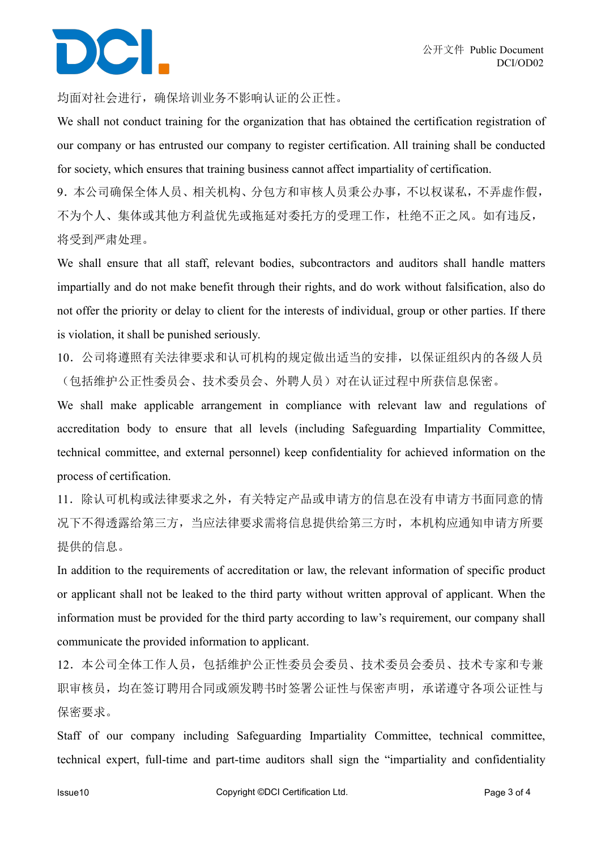## DCI.

均面对社会进行,确保培训业务不影响认证的公正性。

We shall not conduct training for the organization that has obtained the certification registration of our company or has entrusted our company to register certification. All training shall be conducted for society, which ensures that training business cannot affect impartiality of certification.

9.本公司确保全体人员、相关机构、分包方和审核人员秉公办事,不以权谋私,不弄虚作假, 不为个人、集体或其他方利益优先或拖延对委托方的受理工作,杜绝不正之风。如有违反, 将受到严肃处理。

We shall ensure that all staff, relevant bodies, subcontractors and auditors shall handle matters impartially and do not make benefit through their rights, and do work without falsification, also do not offer the priority or delay to client for the interests of individual, group or other parties. If there is violation, it shall be punished seriously.

10.公司将遵照有关法律要求和认可机构的规定做出适当的安排,以保证组织内的各级人员 (包括维护公正性委员会、技术委员会、外聘人员)对在认证过程中所获信息保密。

We shall make applicable arrangement in compliance with relevant law and regulations of accreditation body to ensure that all levels (including Safeguarding Impartiality Committee, technical committee, and external personnel) keep confidentiality for achieved information on the process of certification.

11.除认可机构或法律要求之外,有关特定产品或申请方的信息在没有申请方书面同意的情 况下不得透露给第三方,当应法律要求需将信息提供给第三方时,本机构应通知申请方所要 提供的信息。

In addition to the requirements of accreditation or law, the relevant information of specific product or applicant shall not be leaked to the third party without written approval of applicant. When the information must be provided for the third party according to law's requirement, our company shall communicate the provided information to applicant.

12.本公司全体工作人员,包括维护公正性委员会委员、技术委员会委员、技术专家和专兼 职审核员,均在签订聘用合同或颁发聘书时签署公证性与保密声明,承诺遵守各项公证性与 保密要求。

Staff of our company including Safeguarding Impartiality Committee, technical committee, technical expert, full-time and part-time auditors shall sign the "impartiality and confidentiality